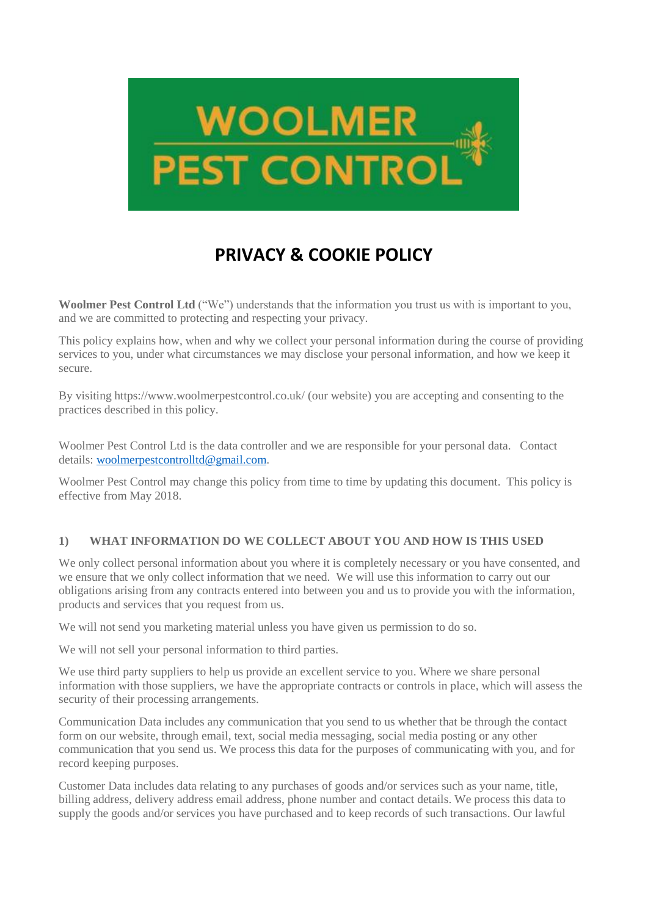

# **PRIVACY & COOKIE POLICY**

**Woolmer Pest Control Ltd** ("We") understands that the information you trust us with is important to you, and we are committed to protecting and respecting your privacy.

This policy explains how, when and why we collect your personal information during the course of providing services to you, under what circumstances we may disclose your personal information, and how we keep it secure.

By visiting https://www.woolmerpestcontrol.co.uk/ (our website) you are accepting and consenting to the practices described in this policy.

Woolmer Pest Control Ltd is the data controller and we are responsible for your personal data. Contact details: [woolmerpestcontrolltd@gmail.com.](mailto:woolmerpestcontrolltd@gmail.com)

Woolmer Pest Control may change this policy from time to time by updating this document. This policy is effective from May 2018.

#### **1) WHAT INFORMATION DO WE COLLECT ABOUT YOU AND HOW IS THIS USED**

We only collect personal information about you where it is completely necessary or you have consented, and we ensure that we only collect information that we need. We will use this information to carry out our obligations arising from any contracts entered into between you and us to provide you with the information, products and services that you request from us.

We will not send you marketing material unless you have given us permission to do so.

We will not sell your personal information to third parties.

We use third party suppliers to help us provide an excellent service to you. Where we share personal information with those suppliers, we have the appropriate contracts or controls in place, which will assess the security of their processing arrangements.

Communication Data includes any communication that you send to us whether that be through the contact form on our website, through email, text, social media messaging, social media posting or any other communication that you send us. We process this data for the purposes of communicating with you, and for record keeping purposes.

Customer Data includes data relating to any purchases of goods and/or services such as your name, title, billing address, delivery address email address, phone number and contact details. We process this data to supply the goods and/or services you have purchased and to keep records of such transactions. Our lawful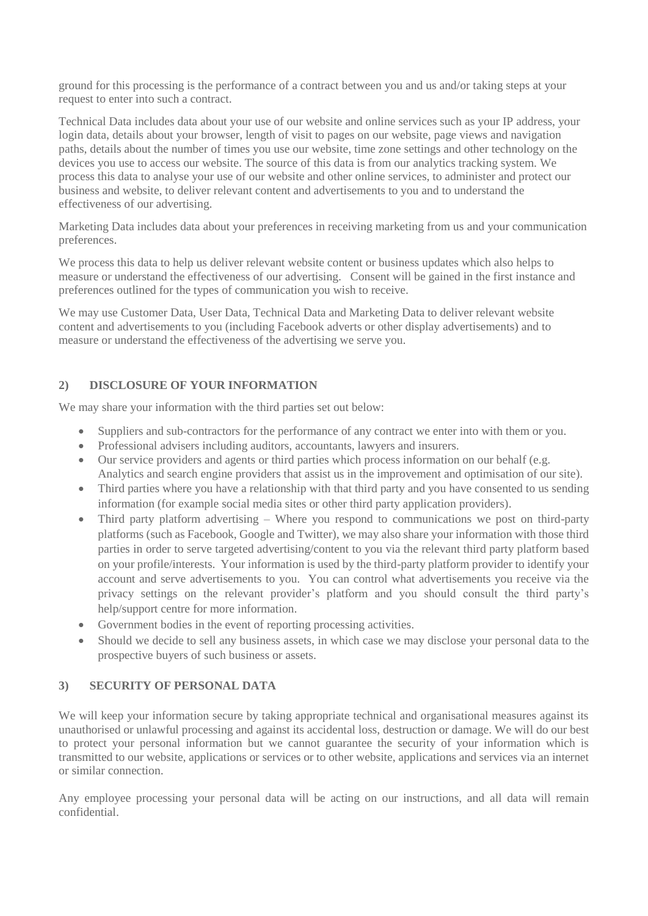ground for this processing is the performance of a contract between you and us and/or taking steps at your request to enter into such a contract.

Technical Data includes data about your use of our website and online services such as your IP address, your login data, details about your browser, length of visit to pages on our website, page views and navigation paths, details about the number of times you use our website, time zone settings and other technology on the devices you use to access our website. The source of this data is from our analytics tracking system. We process this data to analyse your use of our website and other online services, to administer and protect our business and website, to deliver relevant content and advertisements to you and to understand the effectiveness of our advertising.

Marketing Data includes data about your preferences in receiving marketing from us and your communication preferences.

We process this data to help us deliver relevant website content or business updates which also helps to measure or understand the effectiveness of our advertising. Consent will be gained in the first instance and preferences outlined for the types of communication you wish to receive.

We may use Customer Data, User Data, Technical Data and Marketing Data to deliver relevant website content and advertisements to you (including Facebook adverts or other display advertisements) and to measure or understand the effectiveness of the advertising we serve you.

#### **2) DISCLOSURE OF YOUR INFORMATION**

We may share your information with the third parties set out below:

- Suppliers and sub-contractors for the performance of any contract we enter into with them or you.
- Professional advisers including auditors, accountants, lawyers and insurers.
- Our service providers and agents or third parties which process information on our behalf (e.g. Analytics and search engine providers that assist us in the improvement and optimisation of our site).
- Third parties where you have a relationship with that third party and you have consented to us sending information (for example social media sites or other third party application providers).
- Third party platform advertising Where you respond to communications we post on third-party platforms (such as Facebook, Google and Twitter), we may also share your information with those third parties in order to serve targeted advertising/content to you via the relevant third party platform based on your profile/interests. Your information is used by the third-party platform provider to identify your account and serve advertisements to you. You can control what advertisements you receive via the privacy settings on the relevant provider's platform and you should consult the third party's help/support centre for more information.
- Government bodies in the event of reporting processing activities.
- Should we decide to sell any business assets, in which case we may disclose your personal data to the prospective buyers of such business or assets.

# **3) SECURITY OF PERSONAL DATA**

We will keep your information secure by taking appropriate technical and organisational measures against its unauthorised or unlawful processing and against its accidental loss, destruction or damage. We will do our best to protect your personal information but we cannot guarantee the security of your information which is transmitted to our website, applications or services or to other website, applications and services via an internet or similar connection.

Any employee processing your personal data will be acting on our instructions, and all data will remain confidential.